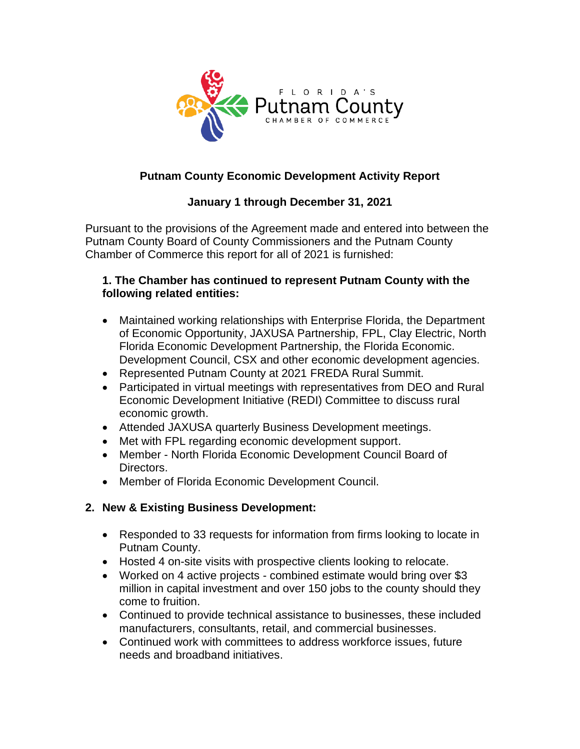

# **Putnam County Economic Development Activity Report**

## **January 1 through December 31, 2021**

Pursuant to the provisions of the Agreement made and entered into between the Putnam County Board of County Commissioners and the Putnam County Chamber of Commerce this report for all of 2021 is furnished:

#### **1. The Chamber has continued to represent Putnam County with the following related entities:**

- Maintained working relationships with Enterprise Florida, the Department of Economic Opportunity, JAXUSA Partnership, FPL, Clay Electric, North Florida Economic Development Partnership, the Florida Economic. Development Council, CSX and other economic development agencies.
- Represented Putnam County at 2021 FREDA Rural Summit.
- Participated in virtual meetings with representatives from DEO and Rural Economic Development Initiative (REDI) Committee to discuss rural economic growth.
- Attended JAXUSA quarterly Business Development meetings.
- Met with FPL regarding economic development support.
- Member North Florida Economic Development Council Board of Directors.
- Member of Florida Economic Development Council.

## **2. New & Existing Business Development:**

- Responded to 33 requests for information from firms looking to locate in Putnam County.
- Hosted 4 on-site visits with prospective clients looking to relocate.
- Worked on 4 active projects combined estimate would bring over \$3 million in capital investment and over 150 jobs to the county should they come to fruition.
- Continued to provide technical assistance to businesses, these included manufacturers, consultants, retail, and commercial businesses.
- Continued work with committees to address workforce issues, future needs and broadband initiatives.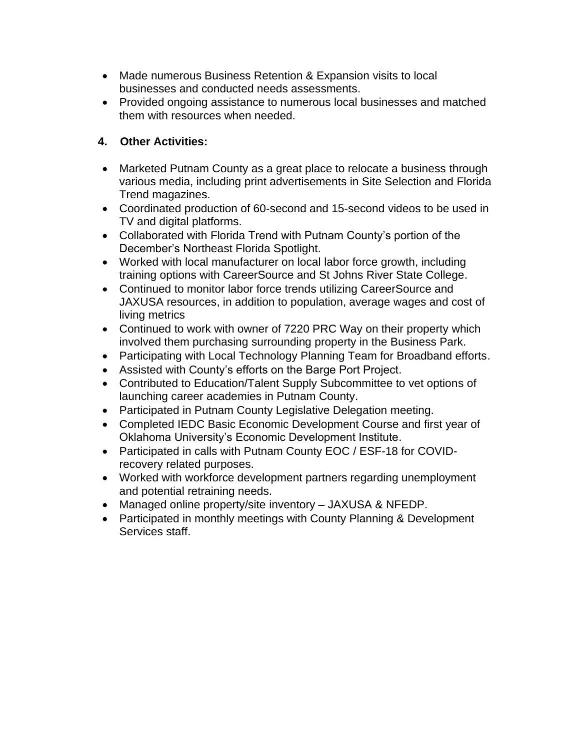- Made numerous Business Retention & Expansion visits to local businesses and conducted needs assessments.
- Provided ongoing assistance to numerous local businesses and matched them with resources when needed.

### **4. Other Activities:**

- Marketed Putnam County as a great place to relocate a business through various media, including print advertisements in Site Selection and Florida Trend magazines.
- Coordinated production of 60-second and 15-second videos to be used in TV and digital platforms.
- Collaborated with Florida Trend with Putnam County's portion of the December's Northeast Florida Spotlight.
- Worked with local manufacturer on local labor force growth, including training options with CareerSource and St Johns River State College.
- Continued to monitor labor force trends utilizing CareerSource and JAXUSA resources, in addition to population, average wages and cost of living metrics
- Continued to work with owner of 7220 PRC Way on their property which involved them purchasing surrounding property in the Business Park.
- Participating with Local Technology Planning Team for Broadband efforts.
- Assisted with County's efforts on the Barge Port Project.
- Contributed to Education/Talent Supply Subcommittee to vet options of launching career academies in Putnam County.
- Participated in Putnam County Legislative Delegation meeting.
- Completed IEDC Basic Economic Development Course and first year of Oklahoma University's Economic Development Institute.
- Participated in calls with Putnam County EOC / ESF-18 for COVIDrecovery related purposes.
- Worked with workforce development partners regarding unemployment and potential retraining needs.
- Managed online property/site inventory JAXUSA & NFEDP.
- Participated in monthly meetings with County Planning & Development Services staff.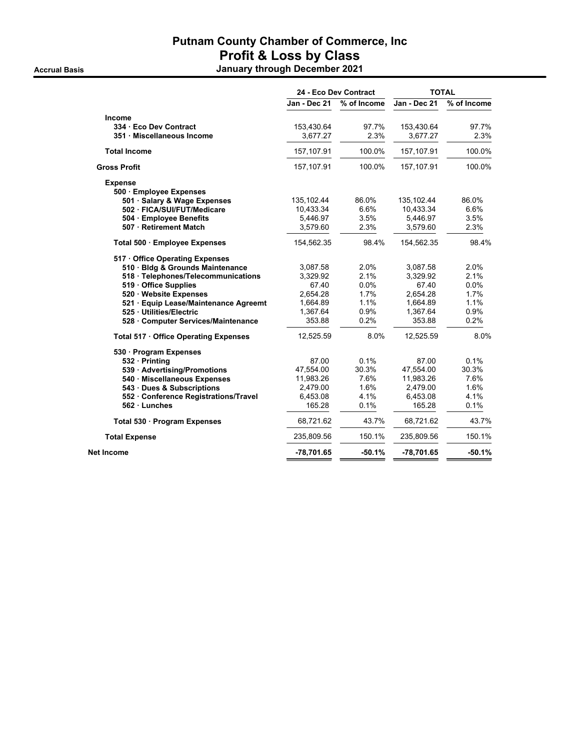#### **Putnam County Chamber of Commerce, Inc Profit & Loss by Class Accrual Basis January through December 2021**

|                                       | 24 - Eco Dev Contract |             | <b>TOTAL</b> |             |
|---------------------------------------|-----------------------|-------------|--------------|-------------|
|                                       | Jan - Dec 21          | % of Income | Jan - Dec 21 | % of Income |
| <b>Income</b>                         |                       |             |              |             |
| 334 Eco Dev Contract                  | 153,430.64            | 97.7%       | 153,430.64   | 97.7%       |
| 351 · Miscellaneous Income            | 3.677.27              | 2.3%        | 3.677.27     | 2.3%        |
| <b>Total Income</b>                   | 157,107.91            | 100.0%      | 157,107.91   | 100.0%      |
| <b>Gross Profit</b>                   | 157,107.91            | 100.0%      | 157,107.91   | 100.0%      |
| <b>Expense</b>                        |                       |             |              |             |
| 500 · Employee Expenses               |                       |             |              |             |
| 501 · Salary & Wage Expenses          | 135,102.44            | 86.0%       | 135,102.44   | 86.0%       |
| 502 · FICA/SUI/FUT/Medicare           | 10,433.34             | 6.6%        | 10,433.34    | 6.6%        |
| 504 · Employee Benefits               | 5,446.97              | 3.5%        | 5,446.97     | 3.5%        |
| 507 · Retirement Match                | 3,579.60              | 2.3%        | 3,579.60     | 2.3%        |
| Total 500 · Employee Expenses         | 154,562.35            | 98.4%       | 154,562.35   | 98.4%       |
| 517 Office Operating Expenses         |                       |             |              |             |
| 510 · Bldg & Grounds Maintenance      | 3,087.58              | 2.0%        | 3,087.58     | 2.0%        |
| 518 · Telephones/Telecommunications   | 3,329.92              | 2.1%        | 3,329.92     | 2.1%        |
| 519 Office Supplies                   | 67.40                 | 0.0%        | 67.40        | 0.0%        |
| 520 · Website Expenses                | 2,654.28              | 1.7%        | 2,654.28     | 1.7%        |
| 521 · Equip Lease/Maintenance Agreemt | 1,664.89              | 1.1%        | 1,664.89     | 1.1%        |
| 525 · Utilities/Electric              | 1,367.64              | 0.9%        | 1,367.64     | 0.9%        |
| 528 Computer Services/Maintenance     | 353.88                | 0.2%        | 353.88       | 0.2%        |
| Total 517 · Office Operating Expenses | 12,525.59             | 8.0%        | 12,525.59    | 8.0%        |
| 530 · Program Expenses                |                       |             |              |             |
| 532 · Printing                        | 87.00                 | 0.1%        | 87.00        | 0.1%        |
| 539 · Advertising/Promotions          | 47,554.00             | 30.3%       | 47,554.00    | 30.3%       |
| 540 · Miscellaneous Expenses          | 11,983.26             | 7.6%        | 11,983.26    | 7.6%        |
| 543 · Dues & Subscriptions            | 2,479.00              | 1.6%        | 2,479.00     | 1.6%        |
| 552 Conference Registrations/Travel   | 6,453.08              | 4.1%        | 6,453.08     | 4.1%        |
| $562 \cdot$ Lunches                   | 165.28                | 0.1%        | 165.28       | 0.1%        |
| Total 530 · Program Expenses          | 68,721.62             | 43.7%       | 68,721.62    | 43.7%       |
| <b>Total Expense</b>                  | 235,809.56            | 150.1%      | 235,809.56   | 150.1%      |
| Net Income                            | -78,701.65            | $-50.1%$    | -78,701.65   | $-50.1%$    |